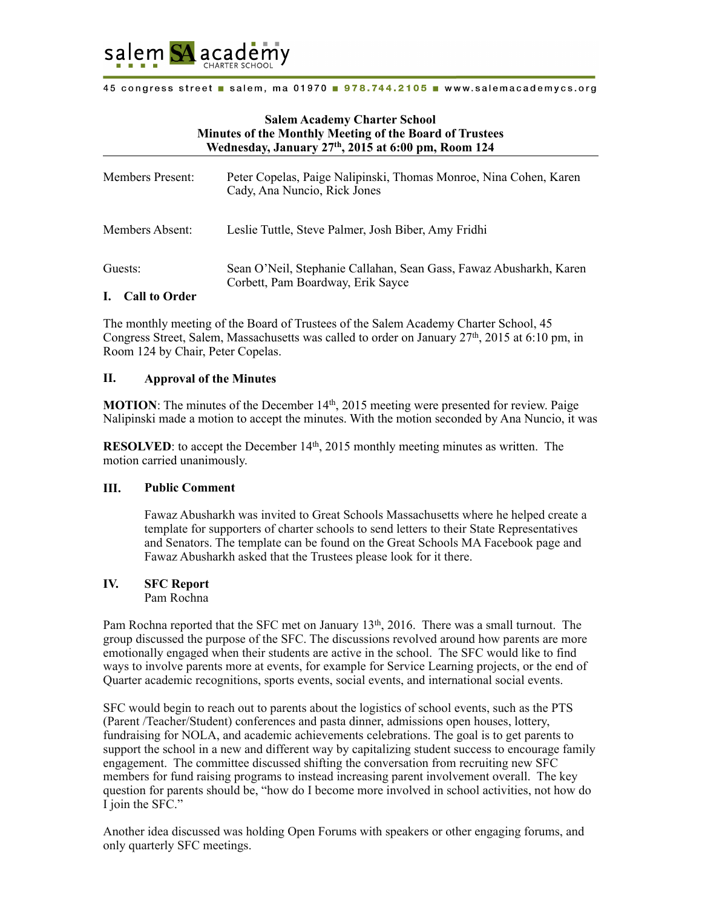

# **Salem Academy Charter School Minutes of the Monthly Meeting of the Board of Trustees Wednesday, January 27th, 2015 at 6:00 pm, Room 124**

| <b>Members Present:</b>                     | Peter Copelas, Paige Nalipinski, Thomas Monroe, Nina Cohen, Karen<br>Cady, Ana Nuncio, Rick Jones       |
|---------------------------------------------|---------------------------------------------------------------------------------------------------------|
| Members Absent:                             | Leslie Tuttle, Steve Palmer, Josh Biber, Amy Fridhi                                                     |
| Guests:<br>$I = \bigcap_{n=1}^{\infty} I_n$ | Sean O'Neil, Stephanie Callahan, Sean Gass, Fawaz Abusharkh, Karen<br>Corbett, Pam Boardway, Erik Sayce |

#### **I. Call to Order**

The monthly meeting of the Board of Trustees of the Salem Academy Charter School, 45 Congress Street, Salem, Massachusetts was called to order on January  $27<sup>th</sup>$ , 2015 at 6:10 pm, in Room 124 by Chair, Peter Copelas.

# **II. Approval of the Minutes**

**MOTION**: The minutes of the December 14<sup>th</sup>, 2015 meeting were presented for review. Paige Nalipinski made a motion to accept the minutes. With the motion seconded by Ana Nuncio, it was

**RESOLVED**: to accept the December 14<sup>th</sup>, 2015 monthly meeting minutes as written. The motion carried unanimously.

## **III. Public Comment**

Fawaz Abusharkh was invited to Great Schools Massachusetts where he helped create a template for supporters of charter schools to send letters to their State Representatives and Senators. The template can be found on the Great Schools MA Facebook page and Fawaz Abusharkh asked that the Trustees please look for it there.

# **IV. SFC Report**

Pam Rochna

Pam Rochna reported that the SFC met on January 13<sup>th</sup>, 2016. There was a small turnout. The group discussed the purpose of the SFC. The discussions revolved around how parents are more emotionally engaged when their students are active in the school. The SFC would like to find ways to involve parents more at events, for example for Service Learning projects, or the end of Quarter academic recognitions, sports events, social events, and international social events.

SFC would begin to reach out to parents about the logistics of school events, such as the PTS (Parent /Teacher/Student) conferences and pasta dinner, admissions open houses, lottery, fundraising for NOLA, and academic achievements celebrations. The goal is to get parents to support the school in a new and different way by capitalizing student success to encourage family engagement. The committee discussed shifting the conversation from recruiting new SFC members for fund raising programs to instead increasing parent involvement overall. The key question for parents should be, "how do I become more involved in school activities, not how do I join the SFC."

Another idea discussed was holding Open Forums with speakers or other engaging forums, and only quarterly SFC meetings.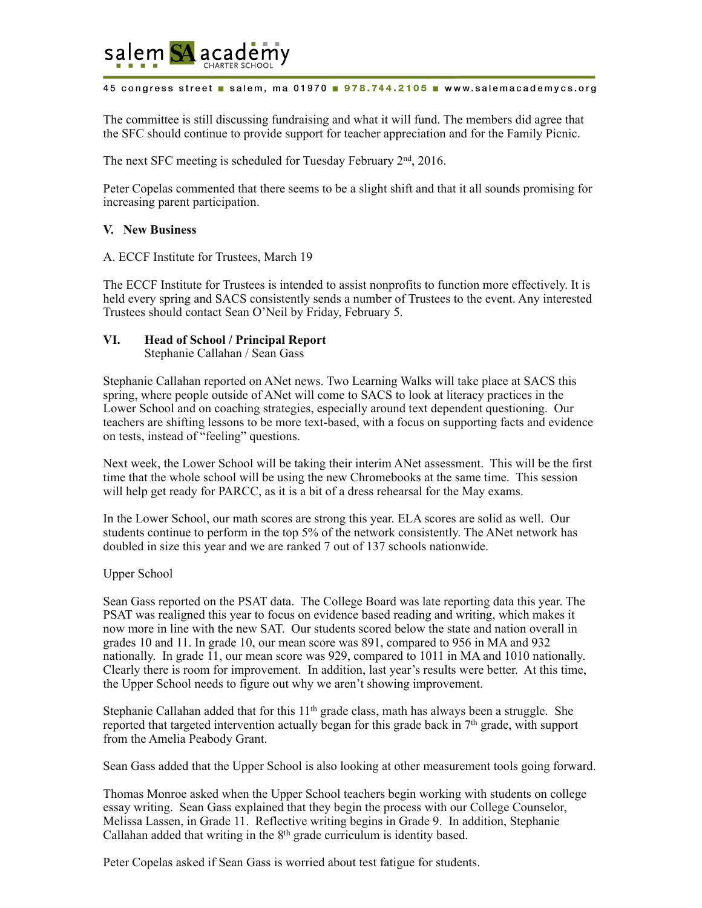

The committee is still discussing fundraising and what it will fund. The members did agree that the SFC should continue to provide support for teacher appreciation and for the Family Picnic.

The next SFC meeting is scheduled for Tuesday February 2nd, 2016.

Peter Copelas commented that there seems to be a slight shift and that it all sounds promising for increasing parent participation.

# **V. New Business**

A. ECCF Institute for Trustees, March 19

The ECCF Institute for Trustees is intended to assist nonprofits to function more effectively. It is held every spring and SACS consistently sends a number of Trustees to the event. Any interested Trustees should contact Sean O'Neil by Friday, February 5.

# **VI. Head of School / Principal Report**

Stephanie Callahan / Sean Gass

Stephanie Callahan reported on ANet news. Two Learning Walks will take place at SACS this spring, where people outside of ANet will come to SACS to look at literacy practices in the Lower School and on coaching strategies, especially around text dependent questioning. Our teachers are shifting lessons to be more text-based, with a focus on supporting facts and evidence on tests, instead of "feeling" questions.

Next week, the Lower School will be taking their interim ANet assessment. This will be the first time that the whole school will be using the new Chromebooks at the same time. This session will help get ready for PARCC, as it is a bit of a dress rehearsal for the May exams.

In the Lower School, our math scores are strong this year. ELA scores are solid as well. Our students continue to perform in the top 5% of the network consistently. The ANet network has doubled in size this year and we are ranked 7 out of 137 schools nationwide.

## Upper School

Sean Gass reported on the PSAT data. The College Board was late reporting data this year. The PSAT was realigned this year to focus on evidence based reading and writing, which makes it now more in line with the new SAT. Our students scored below the state and nation overall in grades 10 and 11. In grade 10, our mean score was 891, compared to 956 in MA and 932 nationally. In grade 11, our mean score was 929, compared to 1011 in MA and 1010 nationally. Clearly there is room for improvement. In addition, last year's results were better. At this time, the Upper School needs to figure out why we aren't showing improvement.

Stephanie Callahan added that for this  $11<sup>th</sup>$  grade class, math has always been a struggle. She reported that targeted intervention actually began for this grade back in  $7<sup>th</sup>$  grade, with support from the Amelia Peabody Grant.

Sean Gass added that the Upper School is also looking at other measurement tools going forward.

Thomas Monroe asked when the Upper School teachers begin working with students on college essay writing. Sean Gass explained that they begin the process with our College Counselor, Melissa Lassen, in Grade 11. Reflective writing begins in Grade 9. In addition, Stephanie Callahan added that writing in the  $8<sup>th</sup>$  grade curriculum is identity based.

Peter Copelas asked if Sean Gass is worried about test fatigue for students.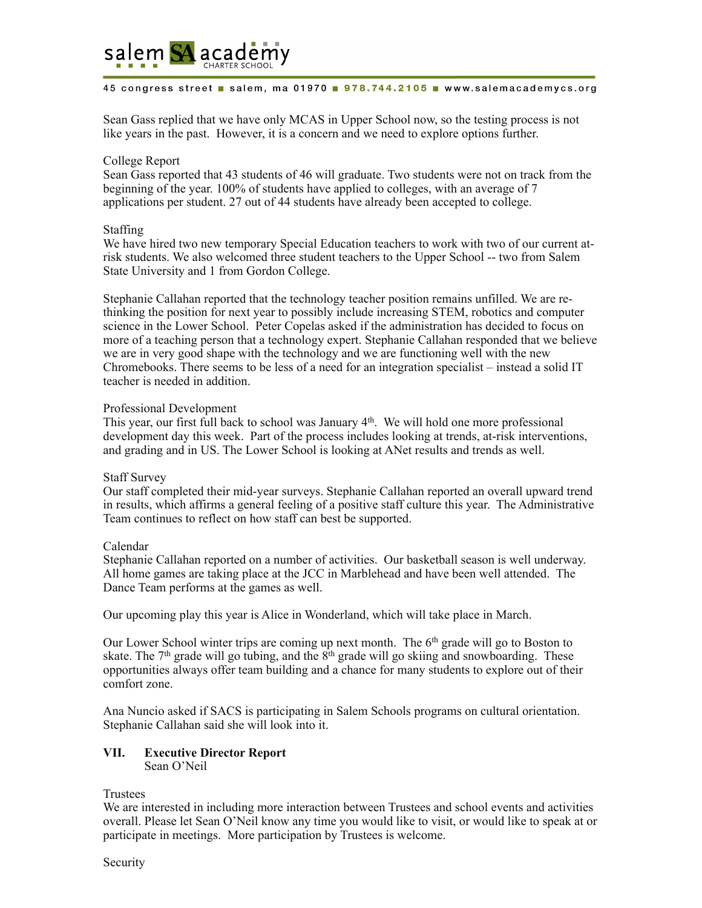

Sean Gass replied that we have only MCAS in Upper School now, so the testing process is not like years in the past. However, it is a concern and we need to explore options further.

## College Report

Sean Gass reported that 43 students of 46 will graduate. Two students were not on track from the beginning of the year. 100% of students have applied to colleges, with an average of 7 applications per student. 27 out of 44 students have already been accepted to college.

## Staffing

We have hired two new temporary Special Education teachers to work with two of our current atrisk students. We also welcomed three student teachers to the Upper School -- two from Salem State University and 1 from Gordon College.

Stephanie Callahan reported that the technology teacher position remains unfilled. We are rethinking the position for next year to possibly include increasing STEM, robotics and computer science in the Lower School. Peter Copelas asked if the administration has decided to focus on more of a teaching person that a technology expert. Stephanie Callahan responded that we believe we are in very good shape with the technology and we are functioning well with the new Chromebooks. There seems to be less of a need for an integration specialist – instead a solid IT teacher is needed in addition.

# Professional Development

This year, our first full back to school was January 4<sup>th</sup>. We will hold one more professional development day this week. Part of the process includes looking at trends, at-risk interventions, and grading and in US. The Lower School is looking at ANet results and trends as well.

## Staff Survey

Our staff completed their mid-year surveys. Stephanie Callahan reported an overall upward trend in results, which affirms a general feeling of a positive staff culture this year. The Administrative Team continues to reflect on how staff can best be supported.

# Calendar

Stephanie Callahan reported on a number of activities. Our basketball season is well underway. All home games are taking place at the JCC in Marblehead and have been well attended. The Dance Team performs at the games as well.

Our upcoming play this year is Alice in Wonderland, which will take place in March.

Our Lower School winter trips are coming up next month. The 6<sup>th</sup> grade will go to Boston to skate. The  $7<sup>th</sup>$  grade will go tubing, and the  $8<sup>th</sup>$  grade will go skiing and snowboarding. These opportunities always offer team building and a chance for many students to explore out of their comfort zone.

Ana Nuncio asked if SACS is participating in Salem Schools programs on cultural orientation. Stephanie Callahan said she will look into it.

# **VII. Executive Director Report**

Sean O'Neil

## Trustees

We are interested in including more interaction between Trustees and school events and activities overall. Please let Sean O'Neil know any time you would like to visit, or would like to speak at or participate in meetings. More participation by Trustees is welcome.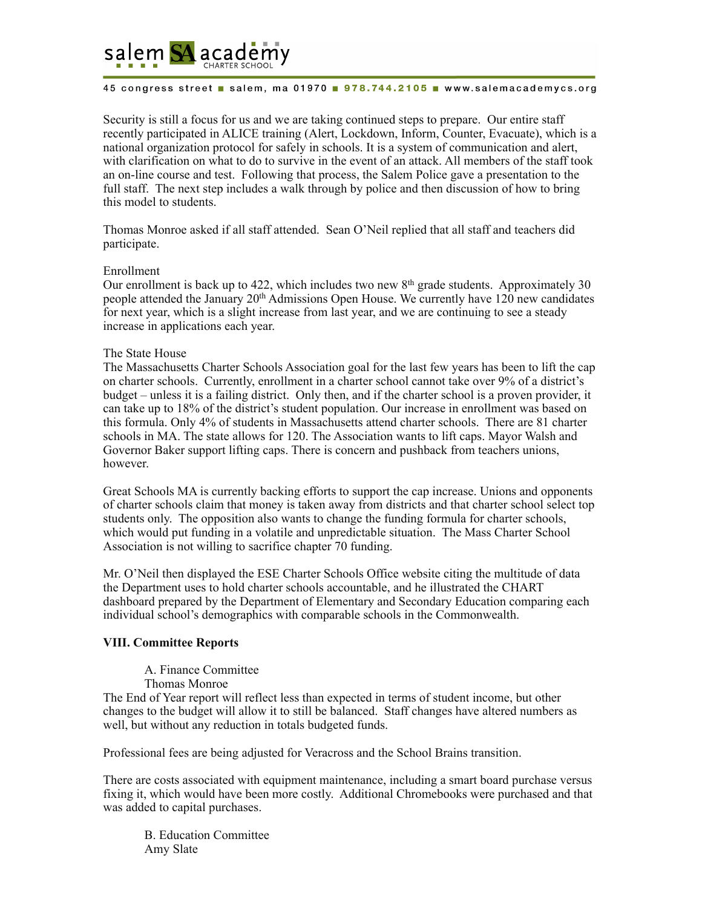

Security is still a focus for us and we are taking continued steps to prepare. Our entire staff recently participated in ALICE training (Alert, Lockdown, Inform, Counter, Evacuate), which is a national organization protocol for safely in schools. It is a system of communication and alert, with clarification on what to do to survive in the event of an attack. All members of the staff took an on-line course and test. Following that process, the Salem Police gave a presentation to the full staff. The next step includes a walk through by police and then discussion of how to bring this model to students.

Thomas Monroe asked if all staff attended. Sean O'Neil replied that all staff and teachers did participate.

## Enrollment

Our enrollment is back up to 422, which includes two new 8th grade students. Approximately 30 people attended the January  $20<sup>th</sup>$  Admissions Open House. We currently have  $120$  new candidates for next year, which is a slight increase from last year, and we are continuing to see a steady increase in applications each year.

#### The State House

The Massachusetts Charter Schools Association goal for the last few years has been to lift the cap on charter schools. Currently, enrollment in a charter school cannot take over 9% of a district's budget – unless it is a failing district. Only then, and if the charter school is a proven provider, it can take up to 18% of the district's student population. Our increase in enrollment was based on this formula. Only 4% of students in Massachusetts attend charter schools. There are 81 charter schools in MA. The state allows for 120. The Association wants to lift caps. Mayor Walsh and Governor Baker support lifting caps. There is concern and pushback from teachers unions, however.

Great Schools MA is currently backing efforts to support the cap increase. Unions and opponents of charter schools claim that money is taken away from districts and that charter school select top students only. The opposition also wants to change the funding formula for charter schools, which would put funding in a volatile and unpredictable situation. The Mass Charter School Association is not willing to sacrifice chapter 70 funding.

Mr. O'Neil then displayed the ESE Charter Schools Office website citing the multitude of data the Department uses to hold charter schools accountable, and he illustrated the CHART dashboard prepared by the Department of Elementary and Secondary Education comparing each individual school's demographics with comparable schools in the Commonwealth.

## **VIII. Committee Reports**

- A. Finance Committee
- Thomas Monroe

The End of Year report will reflect less than expected in terms of student income, but other changes to the budget will allow it to still be balanced. Staff changes have altered numbers as well, but without any reduction in totals budgeted funds.

Professional fees are being adjusted for Veracross and the School Brains transition.

There are costs associated with equipment maintenance, including a smart board purchase versus fixing it, which would have been more costly. Additional Chromebooks were purchased and that was added to capital purchases.

B. Education Committee Amy Slate